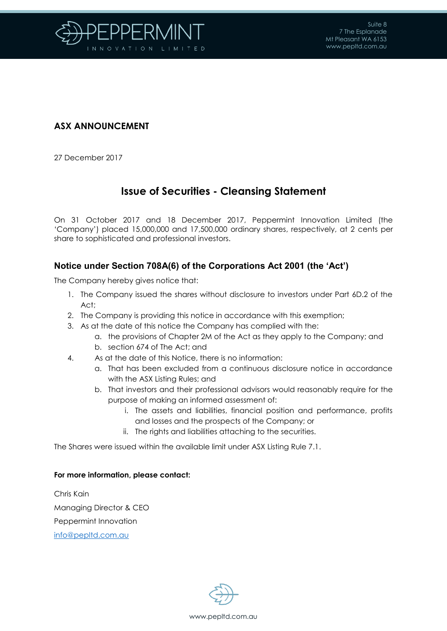

## **ASX ANNOUNCEMENT**

27 December 2017

# **Issue of Securities - Cleansing Statement**

On 31 October 2017 and 18 December 2017, Peppermint Innovation Limited (the 'Company') placed 15,000,000 and 17,500,000 ordinary shares, respectively, at 2 cents per share to sophisticated and professional investors.

### **Notice under Section 708A(6) of the Corporations Act 2001 (the 'Act')**

The Company hereby gives notice that:

- 1. The Company issued the shares without disclosure to investors under Part 6D.2 of the Act;
- 2. The Company is providing this notice in accordance with this exemption;
- 3. As at the date of this notice the Company has complied with the:
	- a. the provisions of Chapter 2M of the Act as they apply to the Company; and
	- b. section 674 of The Act; and
- 4. As at the date of this Notice, there is no information:
	- a. That has been excluded from a continuous disclosure notice in accordance with the ASX Listing Rules; and
	- b. That investors and their professional advisors would reasonably require for the purpose of making an informed assessment of:
		- i. The assets and liabilities, financial position and performance, profits and losses and the prospects of the Company; or
		- ii. The rights and liabilities attaching to the securities.

The Shares were issued within the available limit under ASX Listing Rule 7.1.

#### **For more information, please contact:**

Chris Kain Managing Director & CEO Peppermint Innovation [info@pepltd.com.au](mailto:info@pepltd.com.au)